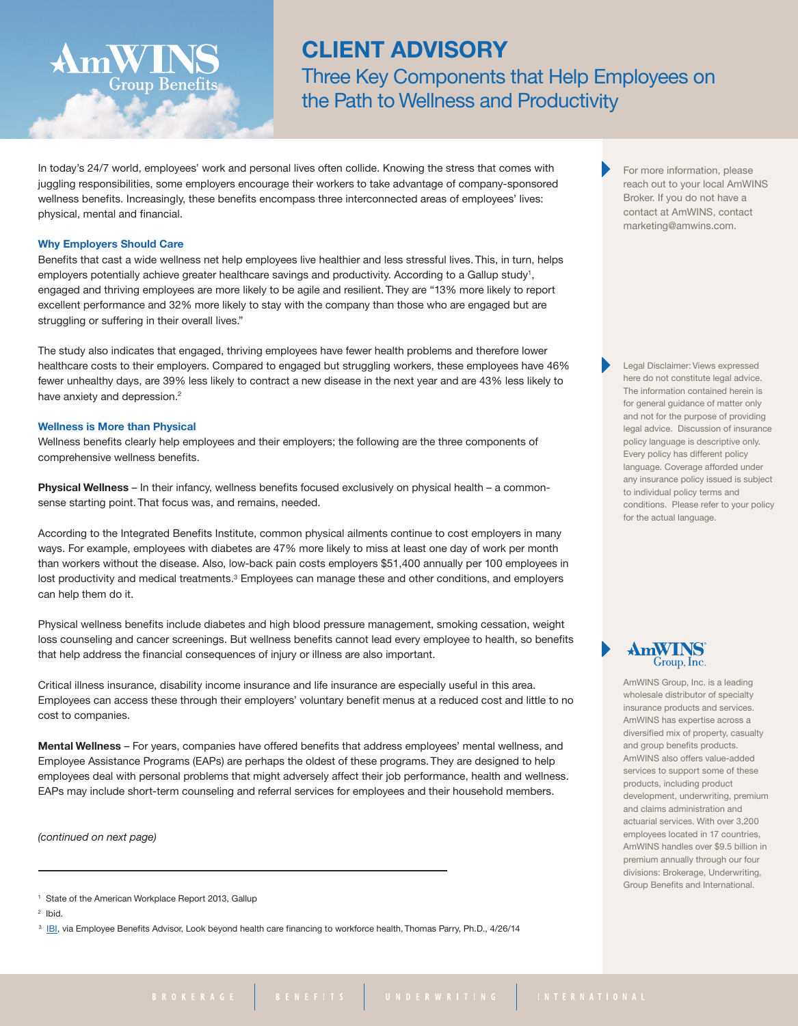# **CLIENT ADVISORY**

Three Key Components that Help Employees on the Path to Wellness and Productivity

In today's 24/7 world, employees' work and personal lives often collide. Knowing the stress that comes with juggling responsibilities, some employers encourage their workers to take advantage of company-sponsored wellness benefits. Increasingly, these benefits encompass three interconnected areas of employees' lives: physical, mental and financial.

## **Why Employers Should Care**

Group Benefits

Benefits that cast a wide wellness net help employees live healthier and less stressful lives. This, in turn, helps employers potentially achieve greater healthcare savings and productivity. According to a Gallup study<sup>1</sup>, engaged and thriving employees are more likely to be agile and resilient. They are "13% more likely to report excellent performance and 32% more likely to stay with the company than those who are engaged but are struggling or suffering in their overall lives."

The study also indicates that engaged, thriving employees have fewer health problems and therefore lower healthcare costs to their employers. Compared to engaged but struggling workers, these employees have 46% fewer unhealthy days, are 39% less likely to contract a new disease in the next year and are 43% less likely to have anxiety and depression.<sup>2</sup>

### **Wellness is More than Physical**

Wellness benefits clearly help employees and their employers; the following are the three components of comprehensive wellness benefits.

**Physical Wellness** – In their infancy, wellness benefits focused exclusively on physical health – a commonsense starting point. That focus was, and remains, needed.

According to the Integrated Benefits Institute, common physical ailments continue to cost employers in many ways. For example, employees with diabetes are 47% more likely to miss at least one day of work per month than workers without the disease. Also, low-back pain costs employers \$51,400 annually per 100 employees in lost productivity and medical treatments.<sup>3</sup> Employees can manage these and other conditions, and employers can help them do it.

Physical wellness benefits include diabetes and high blood pressure management, smoking cessation, weight loss counseling and cancer screenings. But wellness benefits cannot lead every employee to health, so benefits that help address the financial consequences of injury or illness are also important.

Critical illness insurance, disability income insurance and life insurance are especially useful in this area. Employees can access these through their employers' voluntary benefit menus at a reduced cost and little to no cost to companies.

**Mental Wellness** – For years, companies have offered benefits that address employees' mental wellness, and Employee Assistance Programs (EAPs) are perhaps the oldest of these programs. They are designed to help employees deal with personal problems that might adversely affect their job performance, health and wellness. EAPs may include short-term counseling and referral services for employees and their household members.

*(continued on next page)*

For more information, please reach out to your local AmWINS Broker. If you do not have a contact at AmWINS, contact marketing@amwins.com.

Legal Disclaimer: Views expressed here do not constitute legal advice. The information contained herein is for general guidance of matter only and not for the purpose of providing legal advice. Discussion of insurance policy language is descriptive only. Every policy has different policy language. Coverage afforded under any insurance policy issued is subject to individual policy terms and conditions. Please refer to your policy for the actual language.

## **AmWINS** Group, Inc.

AmWINS Group, Inc. is a leading wholesale distributor of specialty insurance products and services. AmWINS has expertise across a diversified mix of property, casualty and group benefits products. AmWINS also offers value-added services to support some of these products, including product development, underwriting, premium and claims administration and actuarial services. With over 3,200 employees located in 17 countries, AmWINS handles over \$9.5 billion in premium annually through our four divisions: Brokerage, Underwriting, Group Benefits and International.

<sup>&</sup>lt;sup>1</sup> State of the American Workplace Report 2013, Gallup

<sup>2</sup> Ibid.

<sup>&</sup>lt;sup>3</sup> [IBI,](ebn.benefitnews.com/blog/ebviews/look-beyond-health-care-financing-to-workforce-health-2739555-1.html ) via Employee Benefits Advisor, Look beyond health care financing to workforce health, Thomas Parry, Ph.D., 4/26/14